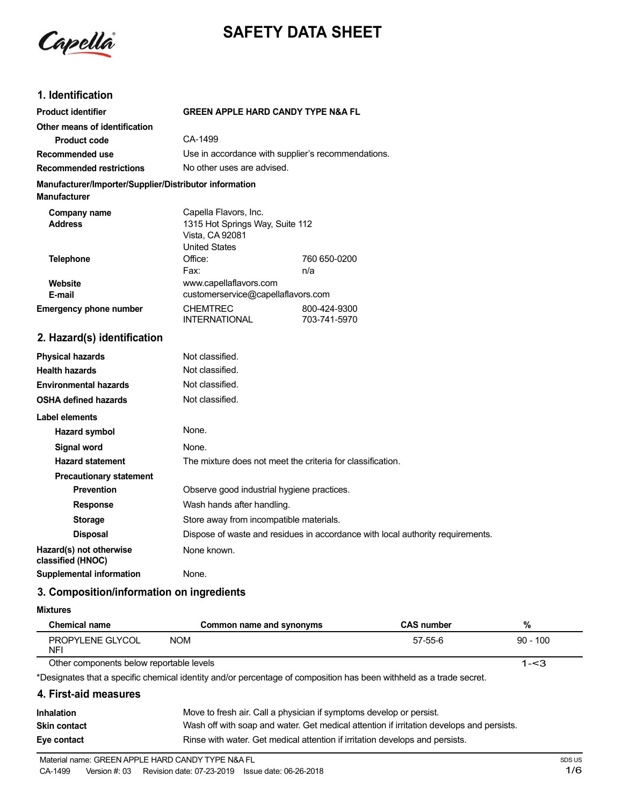

# **SAFETY DATA SHEET**

#### **1. Identification**

| <b>Product identifier</b>                                                     | <b>GREEN APPLE HARD CANDY TYPE N&amp;A FL</b>                                                       |                              |
|-------------------------------------------------------------------------------|-----------------------------------------------------------------------------------------------------|------------------------------|
| Other means of identification                                                 |                                                                                                     |                              |
| <b>Product code</b>                                                           | CA-1499                                                                                             |                              |
| Recommended use                                                               | Use in accordance with supplier's recommendations.                                                  |                              |
| <b>Recommended restrictions</b>                                               | No other uses are advised.                                                                          |                              |
| Manufacturer/Importer/Supplier/Distributor information<br><b>Manufacturer</b> |                                                                                                     |                              |
| Company name<br><b>Address</b>                                                | Capella Flavors, Inc.<br>1315 Hot Springs Way, Suite 112<br>Vista, CA 92081<br><b>United States</b> |                              |
| <b>Telephone</b>                                                              | Office:                                                                                             | 760 650-0200                 |
|                                                                               | Fax:                                                                                                | n/a                          |
| Website<br>E-mail                                                             | www.capellaflavors.com<br>customerservice@capellaflavors.com                                        |                              |
| <b>Emergency phone number</b>                                                 | <b>CHEMTREC</b><br><b>INTERNATIONAL</b>                                                             | 800-424-9300<br>703-741-5970 |
| 2. Hazard(s) identification                                                   |                                                                                                     |                              |
| <b>Physical hazards</b>                                                       | Not classified.                                                                                     |                              |
| <b>Health hazards</b>                                                         | Not classified.                                                                                     |                              |
| <b>Environmental hazards</b>                                                  | Not classified.                                                                                     |                              |
| <b>OSHA defined hazards</b>                                                   | Not classified.                                                                                     |                              |
| <b>Label elements</b>                                                         |                                                                                                     |                              |
| <b>Hazard symbol</b>                                                          | None.                                                                                               |                              |
| Signal word                                                                   | None.                                                                                               |                              |
| <b>Hazard statement</b>                                                       | The mixture does not meet the criteria for classification.                                          |                              |

**Prevention C** Observe good industrial hygiene practices.

**Storage** Store away from incompatible materials.

**Response** Wash hands after handling.

#### **Mixtures**

**classified (HNOC)**

| <b>Chemical name</b>                     | Common name and synonyms | <b>CAS number</b> | %          |
|------------------------------------------|--------------------------|-------------------|------------|
| PROPYLENE GLYCOL<br><b>NFI</b>           | <b>NOM</b>               | 57-55-6           | $90 - 100$ |
| Other components below reportable levels |                          |                   | 1-<3       |

Other components below reportable levels

**Hazard(s)** not otherwise None known.

**3. Composition/information on ingredients**

**Supplemental information** None.

\*Designates that a specific chemical identity and/or percentage of composition has been withheld as a trade secret.

#### **4. First-aid measures**

**Precautionary statement**

| <b>Inhalation</b>   | Move to fresh air. Call a physician if symptoms develop or persist.                      |
|---------------------|------------------------------------------------------------------------------------------|
| <b>Skin contact</b> | Wash off with soap and water. Get medical attention if irritation develops and persists. |
| Eye contact         | Rinse with water. Get medical attention if irritation develops and persists.             |

**Disposal** Dispose of waste and residues in accordance with local authority requirements.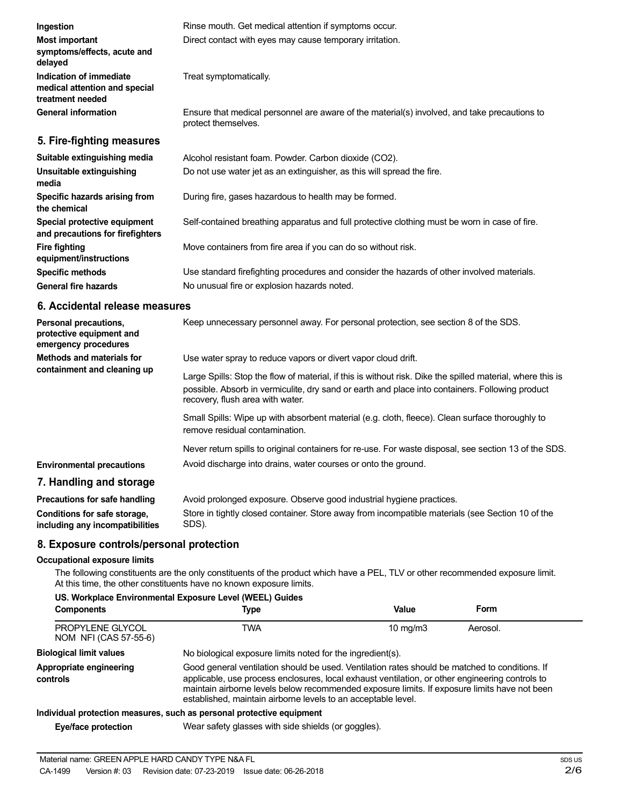| Ingestion                                                                    | Rinse mouth. Get medical attention if symptoms occur.                                                               |
|------------------------------------------------------------------------------|---------------------------------------------------------------------------------------------------------------------|
| <b>Most important</b><br>symptoms/effects, acute and<br>delayed              | Direct contact with eyes may cause temporary irritation.                                                            |
| Indication of immediate<br>medical attention and special<br>treatment needed | Treat symptomatically.                                                                                              |
| <b>General information</b>                                                   | Ensure that medical personnel are aware of the material(s) involved, and take precautions to<br>protect themselves. |
| 5. Fire-fighting measures                                                    |                                                                                                                     |
|                                                                              |                                                                                                                     |

| Alcohol resistant foam. Powder. Carbon dioxide (CO2).                                         |
|-----------------------------------------------------------------------------------------------|
| Do not use water jet as an extinguisher, as this will spread the fire.                        |
| During fire, gases hazardous to health may be formed.                                         |
| Self-contained breathing apparatus and full protective clothing must be worn in case of fire. |
| Move containers from fire area if you can do so without risk.                                 |
| Use standard firefighting procedures and consider the hazards of other involved materials.    |
| No unusual fire or explosion hazards noted.                                                   |
|                                                                                               |

#### **6. Accidental release measures**

| Personal precautions,<br>protective equipment and<br>emergency procedures | Keep unnecessary personnel away. For personal protection, see section 8 of the SDS.                                                                                                                                                               |
|---------------------------------------------------------------------------|---------------------------------------------------------------------------------------------------------------------------------------------------------------------------------------------------------------------------------------------------|
| Methods and materials for                                                 | Use water spray to reduce vapors or divert vapor cloud drift.                                                                                                                                                                                     |
| containment and cleaning up                                               | Large Spills: Stop the flow of material, if this is without risk. Dike the spilled material, where this is<br>possible. Absorb in vermiculite, dry sand or earth and place into containers. Following product<br>recovery, flush area with water. |
|                                                                           | Small Spills: Wipe up with absorbent material (e.g. cloth, fleece). Clean surface thoroughly to<br>remove residual contamination.                                                                                                                 |
|                                                                           | Never return spills to original containers for re-use. For waste disposal, see section 13 of the SDS.                                                                                                                                             |
| <b>Environmental precautions</b>                                          | Avoid discharge into drains, water courses or onto the ground.                                                                                                                                                                                    |
| 7. Handling and storage                                                   |                                                                                                                                                                                                                                                   |
| Precautions for safe handling                                             | Avoid prolonged exposure. Observe good industrial hygiene practices.                                                                                                                                                                              |

| <b>Treadulations</b> for said nanaming | Avoid proioriged exposure. Observe good industrial rivgiene praetices.                           |
|----------------------------------------|--------------------------------------------------------------------------------------------------|
| Conditions for safe storage,           | Store in tightly closed container. Store away from incompatible materials (see Section 10 of the |
| including any incompatibilities        | SDS).                                                                                            |

## **8. Exposure controls/personal protection**

#### **Occupational exposure limits**

The following constituents are the only constituents of the product which have a PEL, TLV or other recommended exposure limit. At this time, the other constituents have no known exposure limits.

#### **US. Workplace Environmental Exposure Level (WEEL) Guides**

| <b>Components</b>                         | Type                                                                                                                                                                                                                                                                                                                                                               | Value             | Form     |  |
|-------------------------------------------|--------------------------------------------------------------------------------------------------------------------------------------------------------------------------------------------------------------------------------------------------------------------------------------------------------------------------------------------------------------------|-------------------|----------|--|
| PROPYLENE GLYCOL<br>NOM NFI (CAS 57-55-6) | TWA                                                                                                                                                                                                                                                                                                                                                                | $10 \text{ mg/m}$ | Aerosol. |  |
| <b>Biological limit values</b>            | No biological exposure limits noted for the ingredient(s).                                                                                                                                                                                                                                                                                                         |                   |          |  |
| Appropriate engineering<br>controls       | Good general ventilation should be used. Ventilation rates should be matched to conditions. If<br>applicable, use process enclosures, local exhaust ventilation, or other engineering controls to<br>maintain airborne levels below recommended exposure limits. If exposure limits have not been<br>established, maintain airborne levels to an acceptable level. |                   |          |  |
|                                           | Individual protection measures, such as personal protective equipment                                                                                                                                                                                                                                                                                              |                   |          |  |
| Eye/face protection                       | Wear safety glasses with side shields (or goggles).                                                                                                                                                                                                                                                                                                                |                   |          |  |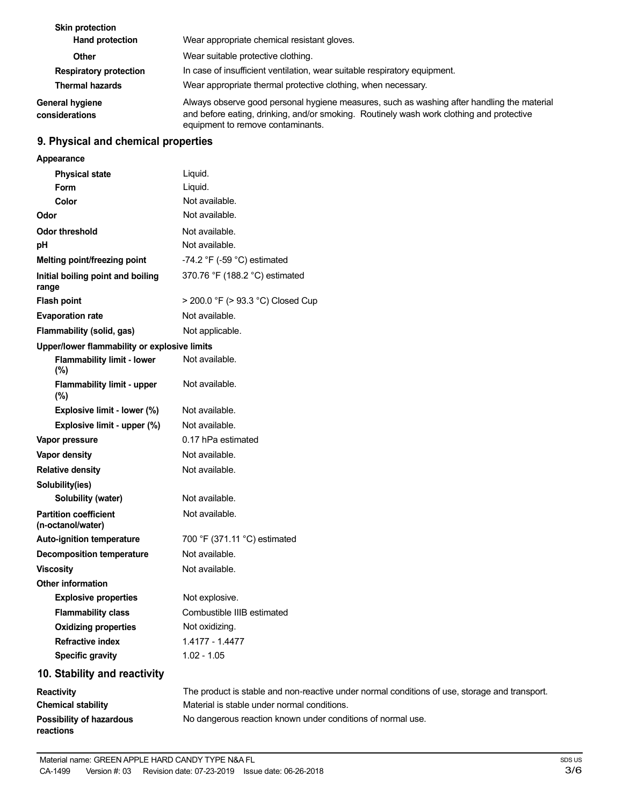| <b>Skin protection</b><br><b>Hand protection</b> | Wear appropriate chemical resistant gloves.                                                                                                                                                                                 |
|--------------------------------------------------|-----------------------------------------------------------------------------------------------------------------------------------------------------------------------------------------------------------------------------|
| <b>Other</b>                                     | Wear suitable protective clothing.                                                                                                                                                                                          |
| <b>Respiratory protection</b>                    | In case of insufficient ventilation, wear suitable respiratory equipment.                                                                                                                                                   |
| <b>Thermal hazards</b>                           | Wear appropriate thermal protective clothing, when necessary.                                                                                                                                                               |
| <b>General hygiene</b><br>considerations         | Always observe good personal hygiene measures, such as washing after handling the material<br>and before eating, drinking, and/or smoking. Routinely wash work clothing and protective<br>equipment to remove contaminants. |

## **9. Physical and chemical properties**

| Appearance                                        |                                                                                         |
|---------------------------------------------------|-----------------------------------------------------------------------------------------|
| <b>Physical state</b>                             | Liquid.                                                                                 |
| <b>Form</b>                                       | Liquid.                                                                                 |
| Color                                             | Not available.                                                                          |
| Odor                                              | Not available.                                                                          |
| <b>Odor threshold</b>                             | Not available.                                                                          |
| pH                                                | Not available.                                                                          |
| Melting point/freezing point                      | -74.2 $\degree$ F (-59 $\degree$ C) estimated                                           |
| Initial boiling point and boiling<br>range        | 370.76 °F (188.2 °C) estimated                                                          |
| <b>Flash point</b>                                | > 200.0 °F (> 93.3 °C) Closed Cup                                                       |
| <b>Evaporation rate</b>                           | Not available.                                                                          |
| Flammability (solid, gas)                         | Not applicable.                                                                         |
| Upper/lower flammability or explosive limits      |                                                                                         |
| <b>Flammability limit - lower</b><br>(%)          | Not available.                                                                          |
| <b>Flammability limit - upper</b><br>(%)          | Not available.                                                                          |
| Explosive limit - lower (%)                       | Not available.                                                                          |
| Explosive limit - upper (%)                       | Not available.                                                                          |
| Vapor pressure                                    | 0.17 hPa estimated                                                                      |
| Vapor density                                     | Not available.                                                                          |
| <b>Relative density</b>                           | Not available.                                                                          |
| Solubility(ies)                                   |                                                                                         |
| Solubility (water)                                | Not available.                                                                          |
| <b>Partition coefficient</b><br>(n-octanol/water) | Not available.                                                                          |
| Auto-ignition temperature                         | 700 °F (371.11 °C) estimated                                                            |
| <b>Decomposition temperature</b>                  | Not available.                                                                          |
| <b>Viscosity</b>                                  | Not available.                                                                          |
| <b>Other information</b>                          |                                                                                         |
| <b>Explosive properties</b>                       | Not explosive.                                                                          |
| <b>Flammability class</b>                         | Combustible IIIB estimated                                                              |
| <b>Oxidizing properties</b>                       | Not oxidizing.                                                                          |
| <b>Refractive index</b>                           | 1.4177 - 1.4477                                                                         |
| <b>Specific gravity</b>                           | $1.02 - 1.05$                                                                           |
| 10. Stability and reactivity                      |                                                                                         |
| Reactivity                                        | The product is stable and non-reactive under normal conditions of use, storage and trar |

| <b>Reactivity</b>         | The product is stable and non-reactive under normal conditions of use, storage and transport. |
|---------------------------|-----------------------------------------------------------------------------------------------|
| <b>Chemical stability</b> | Material is stable under normal conditions.                                                   |
| Possibility of hazardous  | No dangerous reaction known under conditions of normal use.                                   |
| reactions                 |                                                                                               |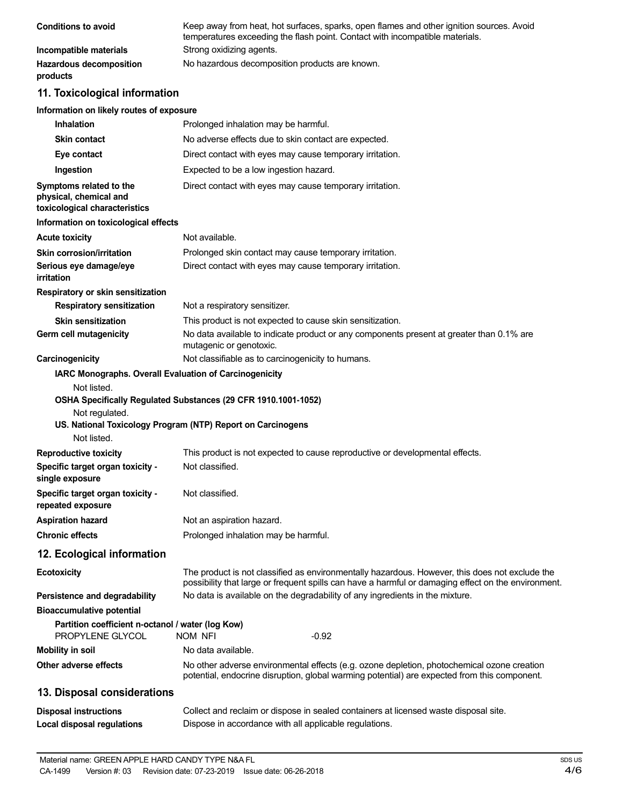| <b>Conditions to avoid</b>                 | Keep away from heat, hot surfaces, sparks, open flames and other ignition sources. Avoid<br>temperatures exceeding the flash point. Contact with incompatible materials. |
|--------------------------------------------|--------------------------------------------------------------------------------------------------------------------------------------------------------------------------|
| Incompatible materials                     | Strong oxidizing agents.                                                                                                                                                 |
| <b>Hazardous decomposition</b><br>products | No hazardous decomposition products are known.                                                                                                                           |

## **11. Toxicological information**

#### **Information on likely routes of exposure**

| <b>Inhalation</b>                                                                  | Prolonged inhalation may be harmful.                                                                                                                                                                  |
|------------------------------------------------------------------------------------|-------------------------------------------------------------------------------------------------------------------------------------------------------------------------------------------------------|
| <b>Skin contact</b>                                                                | No adverse effects due to skin contact are expected.                                                                                                                                                  |
| Eye contact                                                                        | Direct contact with eyes may cause temporary irritation.                                                                                                                                              |
| Ingestion                                                                          | Expected to be a low ingestion hazard.                                                                                                                                                                |
| Symptoms related to the<br>physical, chemical and<br>toxicological characteristics | Direct contact with eyes may cause temporary irritation.                                                                                                                                              |
| Information on toxicological effects                                               |                                                                                                                                                                                                       |
| <b>Acute toxicity</b>                                                              | Not available.                                                                                                                                                                                        |
| <b>Skin corrosion/irritation</b>                                                   | Prolonged skin contact may cause temporary irritation.                                                                                                                                                |
| Serious eye damage/eye<br>irritation                                               | Direct contact with eyes may cause temporary irritation.                                                                                                                                              |
| Respiratory or skin sensitization                                                  |                                                                                                                                                                                                       |
| <b>Respiratory sensitization</b>                                                   | Not a respiratory sensitizer.                                                                                                                                                                         |
| <b>Skin sensitization</b>                                                          | This product is not expected to cause skin sensitization.                                                                                                                                             |
| Germ cell mutagenicity                                                             | No data available to indicate product or any components present at greater than 0.1% are<br>mutagenic or genotoxic.                                                                                   |
| Carcinogenicity                                                                    | Not classifiable as to carcinogenicity to humans.                                                                                                                                                     |
| IARC Monographs. Overall Evaluation of Carcinogenicity<br>Not listed.              |                                                                                                                                                                                                       |
| Not regulated.<br>Not listed.                                                      | OSHA Specifically Regulated Substances (29 CFR 1910.1001-1052)<br>US. National Toxicology Program (NTP) Report on Carcinogens                                                                         |
| <b>Reproductive toxicity</b>                                                       | This product is not expected to cause reproductive or developmental effects.                                                                                                                          |
| Specific target organ toxicity -<br>single exposure                                | Not classified.                                                                                                                                                                                       |
| Specific target organ toxicity -<br>repeated exposure                              | Not classified.                                                                                                                                                                                       |
| <b>Aspiration hazard</b>                                                           | Not an aspiration hazard.                                                                                                                                                                             |
| <b>Chronic effects</b>                                                             | Prolonged inhalation may be harmful.                                                                                                                                                                  |
| 12. Ecological information                                                         |                                                                                                                                                                                                       |
| <b>Ecotoxicity</b>                                                                 | The product is not classified as environmentally hazardous. However, this does not exclude the<br>possibility that large or frequent spills can have a harmful or damaging effect on the environment. |
| Persistence and degradability                                                      | No data is available on the degradability of any ingredients in the mixture.                                                                                                                          |
| <b>Bioaccumulative potential</b>                                                   |                                                                                                                                                                                                       |
| Partition coefficient n-octanol / water (log Kow)<br>PROPYLENE GLYCOL              | $-0.92$<br>NOM NFI                                                                                                                                                                                    |
| <b>Mobility in soil</b>                                                            | No data available.                                                                                                                                                                                    |
| Other adverse effects                                                              | No other adverse environmental effects (e.g. ozone depletion, photochemical ozone creation<br>potential, endocrine disruption, global warming potential) are expected from this component.            |
| 13. Disposal considerations                                                        |                                                                                                                                                                                                       |
| <b>Disposal instructions</b><br><b>Local disposal regulations</b>                  | Collect and reclaim or dispose in sealed containers at licensed waste disposal site.<br>Dispose in accordance with all applicable regulations.                                                        |
|                                                                                    |                                                                                                                                                                                                       |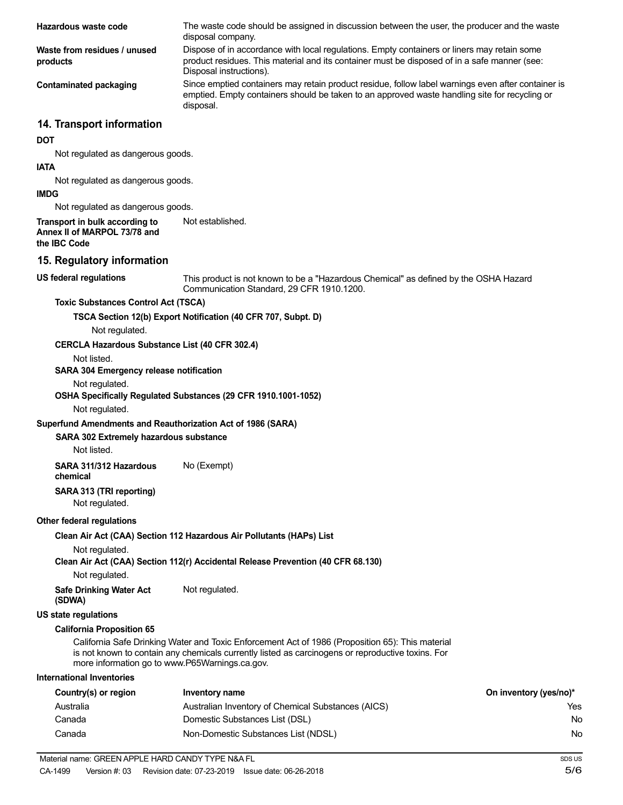| Hazardous waste code                                                               | The waste code should be assigned in discussion between the user, the producer and the waste<br>disposal company.                                                                                                      |                        |
|------------------------------------------------------------------------------------|------------------------------------------------------------------------------------------------------------------------------------------------------------------------------------------------------------------------|------------------------|
| Waste from residues / unused<br>products                                           | Dispose of in accordance with local regulations. Empty containers or liners may retain some<br>product residues. This material and its container must be disposed of in a safe manner (see:<br>Disposal instructions). |                        |
| <b>Contaminated packaging</b>                                                      | Since emptied containers may retain product residue, follow label warnings even after container is<br>emptied. Empty containers should be taken to an approved waste handling site for recycling or<br>disposal.       |                        |
| 14. Transport information                                                          |                                                                                                                                                                                                                        |                        |
| <b>DOT</b>                                                                         |                                                                                                                                                                                                                        |                        |
| Not regulated as dangerous goods.<br><b>IATA</b>                                   |                                                                                                                                                                                                                        |                        |
| Not regulated as dangerous goods.                                                  |                                                                                                                                                                                                                        |                        |
| <b>IMDG</b>                                                                        |                                                                                                                                                                                                                        |                        |
| Not regulated as dangerous goods.                                                  |                                                                                                                                                                                                                        |                        |
| Transport in bulk according to<br>Annex II of MARPOL 73/78 and<br>the IBC Code     | Not established.                                                                                                                                                                                                       |                        |
| 15. Regulatory information                                                         |                                                                                                                                                                                                                        |                        |
| <b>US federal regulations</b>                                                      | This product is not known to be a "Hazardous Chemical" as defined by the OSHA Hazard<br>Communication Standard, 29 CFR 1910.1200.                                                                                      |                        |
| <b>Toxic Substances Control Act (TSCA)</b>                                         |                                                                                                                                                                                                                        |                        |
|                                                                                    | TSCA Section 12(b) Export Notification (40 CFR 707, Subpt. D)                                                                                                                                                          |                        |
| Not regulated.                                                                     |                                                                                                                                                                                                                        |                        |
| <b>CERCLA Hazardous Substance List (40 CFR 302.4)</b>                              |                                                                                                                                                                                                                        |                        |
| Not listed.                                                                        |                                                                                                                                                                                                                        |                        |
| SARA 304 Emergency release notification                                            |                                                                                                                                                                                                                        |                        |
| Not regulated.<br>Not regulated.                                                   | OSHA Specifically Regulated Substances (29 CFR 1910.1001-1052)                                                                                                                                                         |                        |
| Superfund Amendments and Reauthorization Act of 1986 (SARA)                        |                                                                                                                                                                                                                        |                        |
| SARA 302 Extremely hazardous substance<br>Not listed.                              |                                                                                                                                                                                                                        |                        |
| SARA 311/312 Hazardous<br>chemical                                                 | No (Exempt)                                                                                                                                                                                                            |                        |
| SARA 313 (TRI reporting)<br>Not regulated.                                         |                                                                                                                                                                                                                        |                        |
| Other federal regulations                                                          |                                                                                                                                                                                                                        |                        |
|                                                                                    | Clean Air Act (CAA) Section 112 Hazardous Air Pollutants (HAPs) List                                                                                                                                                   |                        |
| Not regulated.                                                                     | Clean Air Act (CAA) Section 112(r) Accidental Release Prevention (40 CFR 68.130)                                                                                                                                       |                        |
| Not regulated.                                                                     |                                                                                                                                                                                                                        |                        |
| <b>Safe Drinking Water Act</b><br>(SDWA)                                           | Not regulated.                                                                                                                                                                                                         |                        |
| <b>US state regulations</b>                                                        |                                                                                                                                                                                                                        |                        |
| <b>California Proposition 65</b><br>more information go to www.P65Warnings.ca.gov. | California Safe Drinking Water and Toxic Enforcement Act of 1986 (Proposition 65): This material<br>is not known to contain any chemicals currently listed as carcinogens or reproductive toxins. For                  |                        |
| <b>International Inventories</b>                                                   |                                                                                                                                                                                                                        |                        |
| Country(s) or region                                                               | <b>Inventory name</b>                                                                                                                                                                                                  | On inventory (yes/no)* |
| Australia                                                                          | Australian Inventory of Chemical Substances (AICS)                                                                                                                                                                     | Yes                    |
| Canada                                                                             | Domestic Substances List (DSL)                                                                                                                                                                                         | No.                    |
| Canada                                                                             | Non-Domestic Substances List (NDSL)                                                                                                                                                                                    | No.                    |